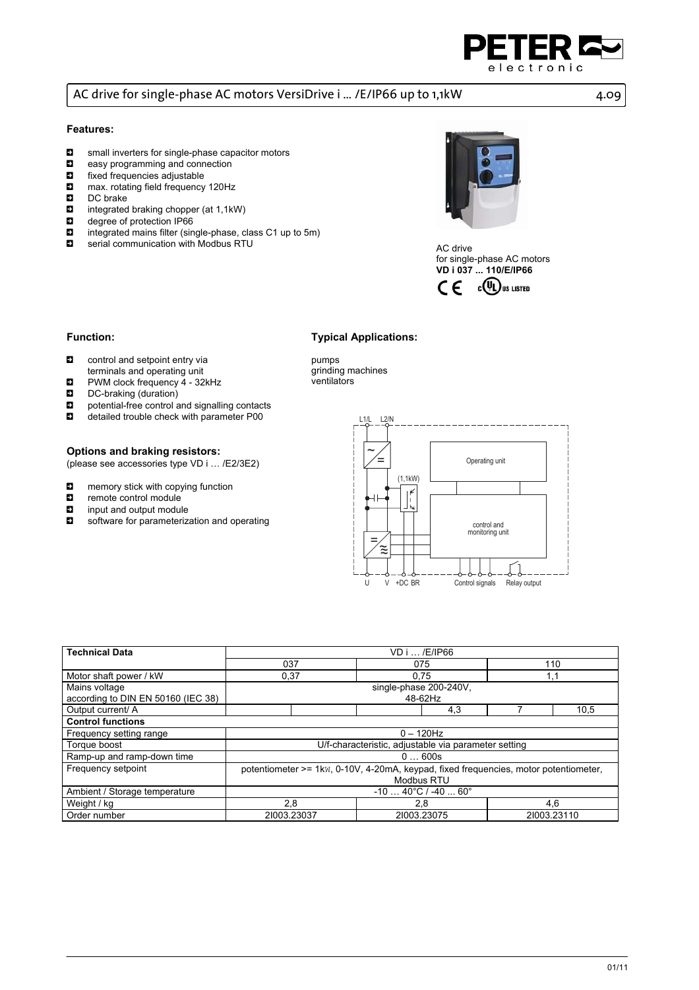

# AC drive for single-phase AC motors VersiDrive i ... /E/IP66 up to 1,1kW 4.09

### **Features:**

- $\Box$  small inverters for single-phase capacitor motors<br> $\Box$  easy programming and connection
- **E** easy programming and connection<br> **E** fixed frequencies adjustable
- fixed frequencies adjustable
- **E** max. rotating field frequency 120Hz<br> **E** DC brake
- DC brake
- $\blacksquare$  integrated braking chopper (at 1,1kW)
- $\blacksquare$  degree of protection IP66
- $\Box$  integrated mains filter (single-phase, class C1 up to 5m)
- **E** serial communication with Modbus RTU



AC drive for single-phase AC motors **VD i 037 ... 110/E/IP66** 



### **Function:**

- $\Box$  control and setpoint entry via terminals and operating unit
- $\blacksquare$  PWM clock frequency 4 32kHz
- **D** DC-braking (duration)
- **E** potential-free control and signalling contacts<br> **E** detailed trouble check with parameter P00
- detailed trouble check with parameter P00

#### **Options and braking resistors:**

(please see accessories type VD i … /E2/3E2)

- $\Box$  memory stick with copying function<br> $\Box$  remote control module
- **E** remote control module
- input and output module
- $\Box$  software for parameterization and operating

pumps grinding machines ventilators

**Typical Applications:** 



| <b>Technical Data</b>              | VD i  /E/IP66                                                                        |             |             |      |  |  |
|------------------------------------|--------------------------------------------------------------------------------------|-------------|-------------|------|--|--|
|                                    | 037                                                                                  | 075         | 110         |      |  |  |
| Motor shaft power / kW             | 0,37                                                                                 | 0.75        | 1,1         |      |  |  |
| Mains voltage                      | single-phase 200-240V.                                                               |             |             |      |  |  |
| according to DIN EN 50160 (IEC 38) | 48-62Hz                                                                              |             |             |      |  |  |
| Output current/ A                  |                                                                                      | 4,3         |             | 10.5 |  |  |
| <b>Control functions</b>           |                                                                                      |             |             |      |  |  |
| Frequency setting range            | $0 - 120$ Hz                                                                         |             |             |      |  |  |
| Torque boost                       | U/f-characteristic, adjustable via parameter setting                                 |             |             |      |  |  |
| Ramp-up and ramp-down time         | 0600s                                                                                |             |             |      |  |  |
| Frequency setpoint                 | potentiometer >= 1kw, 0-10V, 4-20mA, keypad, fixed frequencies, motor potentiometer, |             |             |      |  |  |
|                                    | <b>Modbus RTU</b>                                                                    |             |             |      |  |  |
| Ambient / Storage temperature      | $-10$ $40^{\circ}$ C / $-40$ 60 $^{\circ}$                                           |             |             |      |  |  |
| Weight / kg                        | 2,8                                                                                  | 2,8         | 4,6         |      |  |  |
| Order number                       | 21003.23037                                                                          | 21003.23075 | 21003.23110 |      |  |  |